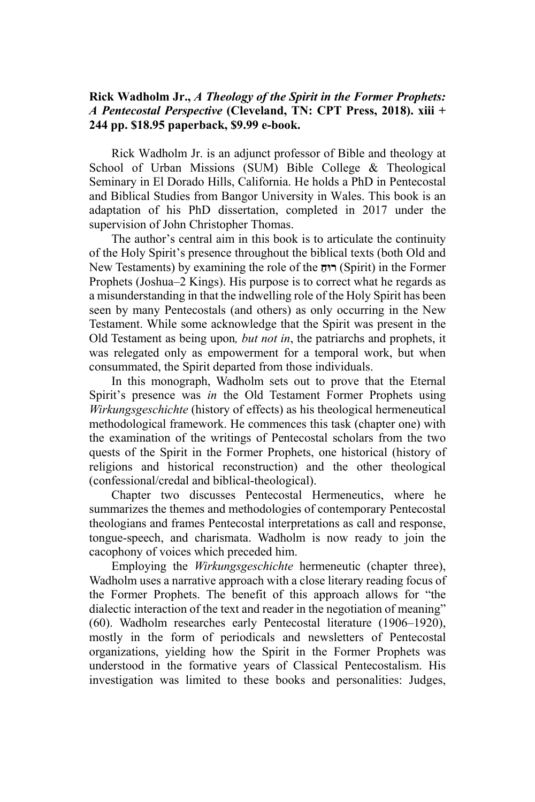## **Rick Wadholm Jr.,** *A Theology of the Spirit in the Former Prophets: A Pentecostal Perspective* **(Cleveland, TN: CPT Press, 2018). xiii + 244 pp. \$18.95 paperback, \$9.99 e-book.**

Rick Wadholm Jr. is an adjunct professor of Bible and theology at School of Urban Missions (SUM) Bible College & Theological Seminary in El Dorado Hills, California. He holds a PhD in Pentecostal and Biblical Studies from Bangor University in Wales. This book is an adaptation of his PhD dissertation, completed in 2017 under the supervision of John Christopher Thomas.

The author's central aim in this book is to articulate the continuity of the Holy Spirit's presence throughout the biblical texts (both Old and New Testaments) by examining the role of the **רוּח ַ**) Spirit) in the Former Prophets (Joshua–2 Kings). His purpose is to correct what he regards as a misunderstanding in that the indwelling role of the Holy Spirit has been seen by many Pentecostals (and others) as only occurring in the New Testament. While some acknowledge that the Spirit was present in the Old Testament as being upon*, but not in*, the patriarchs and prophets, it was relegated only as empowerment for a temporal work, but when consummated, the Spirit departed from those individuals.

In this monograph, Wadholm sets out to prove that the Eternal Spirit's presence was *in* the Old Testament Former Prophets using *Wirkungsgeschichte* (history of effects) as his theological hermeneutical methodological framework. He commences this task (chapter one) with the examination of the writings of Pentecostal scholars from the two quests of the Spirit in the Former Prophets, one historical (history of religions and historical reconstruction) and the other theological (confessional/credal and biblical-theological).

Chapter two discusses Pentecostal Hermeneutics, where he summarizes the themes and methodologies of contemporary Pentecostal theologians and frames Pentecostal interpretations as call and response, tongue-speech, and charismata. Wadholm is now ready to join the cacophony of voices which preceded him.

Employing the *Wirkungsgeschichte* hermeneutic (chapter three), Wadholm uses a narrative approach with a close literary reading focus of the Former Prophets. The benefit of this approach allows for "the dialectic interaction of the text and reader in the negotiation of meaning" (60). Wadholm researches early Pentecostal literature (1906–1920), mostly in the form of periodicals and newsletters of Pentecostal organizations, yielding how the Spirit in the Former Prophets was understood in the formative years of Classical Pentecostalism. His investigation was limited to these books and personalities: Judges,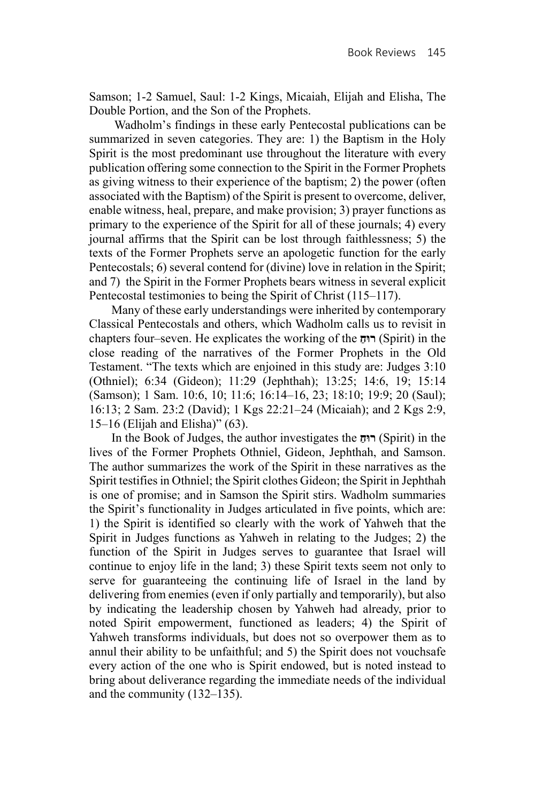Samson; 1-2 Samuel, Saul: 1-2 Kings, Micaiah, Elijah and Elisha, The Double Portion, and the Son of the Prophets.

 Wadholm's findings in these early Pentecostal publications can be summarized in seven categories. They are: 1) the Baptism in the Holy Spirit is the most predominant use throughout the literature with every publication offering some connection to the Spirit in the Former Prophets as giving witness to their experience of the baptism; 2) the power (often associated with the Baptism) of the Spirit is present to overcome, deliver, enable witness, heal, prepare, and make provision; 3) prayer functions as primary to the experience of the Spirit for all of these journals; 4) every journal affirms that the Spirit can be lost through faithlessness; 5) the texts of the Former Prophets serve an apologetic function for the early Pentecostals; 6) several contend for (divine) love in relation in the Spirit; and 7) the Spirit in the Former Prophets bears witness in several explicit Pentecostal testimonies to being the Spirit of Christ (115–117).

Many of these early understandings were inherited by contemporary Classical Pentecostals and others, which Wadholm calls us to revisit in chapters four–seven. He explicates the working of the **רוּח ַ**) Spirit) in the close reading of the narratives of the Former Prophets in the Old Testament. "The texts which are enjoined in this study are: Judges 3:10 (Othniel); 6:34 (Gideon); 11:29 (Jephthah); 13:25; 14:6, 19; 15:14 (Samson); 1 Sam. 10:6, 10; 11:6; 16:14–16, 23; 18:10; 19:9; 20 (Saul); 16:13; 2 Sam. 23:2 (David); 1 Kgs 22:21–24 (Micaiah); and 2 Kgs 2:9, 15–16 (Elijah and Elisha)" (63).

In the Book of Judges, the author investigates the **רוּח ַ**) Spirit) in the lives of the Former Prophets Othniel, Gideon, Jephthah, and Samson. The author summarizes the work of the Spirit in these narratives as the Spirit testifies in Othniel; the Spirit clothes Gideon; the Spirit in Jephthah is one of promise; and in Samson the Spirit stirs. Wadholm summaries the Spirit's functionality in Judges articulated in five points, which are: 1) the Spirit is identified so clearly with the work of Yahweh that the Spirit in Judges functions as Yahweh in relating to the Judges; 2) the function of the Spirit in Judges serves to guarantee that Israel will continue to enjoy life in the land; 3) these Spirit texts seem not only to serve for guaranteeing the continuing life of Israel in the land by delivering from enemies (even if only partially and temporarily), but also by indicating the leadership chosen by Yahweh had already, prior to noted Spirit empowerment, functioned as leaders; 4) the Spirit of Yahweh transforms individuals, but does not so overpower them as to annul their ability to be unfaithful; and 5) the Spirit does not vouchsafe every action of the one who is Spirit endowed, but is noted instead to bring about deliverance regarding the immediate needs of the individual and the community (132–135).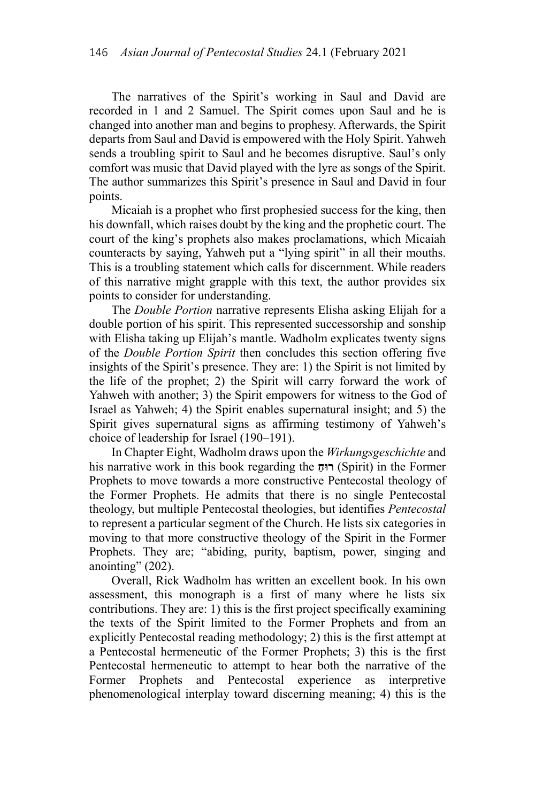The narratives of the Spirit's working in Saul and David are recorded in 1 and 2 Samuel. The Spirit comes upon Saul and he is changed into another man and begins to prophesy. Afterwards, the Spirit departs from Saul and David is empowered with the Holy Spirit. Yahweh sends a troubling spirit to Saul and he becomes disruptive. Saul's only comfort was music that David played with the lyre as songs of the Spirit. The author summarizes this Spirit's presence in Saul and David in four points.

Micaiah is a prophet who first prophesied success for the king, then his downfall, which raises doubt by the king and the prophetic court. The court of the king's prophets also makes proclamations, which Micaiah counteracts by saying, Yahweh put a "lying spirit" in all their mouths. This is a troubling statement which calls for discernment. While readers of this narrative might grapple with this text, the author provides six points to consider for understanding.

The *Double Portion* narrative represents Elisha asking Elijah for a double portion of his spirit. This represented successorship and sonship with Elisha taking up Elijah's mantle. Wadholm explicates twenty signs of the *Double Portion Spirit* then concludes this section offering five insights of the Spirit's presence. They are: 1) the Spirit is not limited by the life of the prophet; 2) the Spirit will carry forward the work of Yahweh with another; 3) the Spirit empowers for witness to the God of Israel as Yahweh; 4) the Spirit enables supernatural insight; and 5) the Spirit gives supernatural signs as affirming testimony of Yahweh's choice of leadership for Israel (190–191).

In Chapter Eight, Wadholm draws upon the *Wirkungsgeschichte* and his narrative work in this book regarding the **רוּח ַ**) Spirit) in the Former Prophets to move towards a more constructive Pentecostal theology of the Former Prophets. He admits that there is no single Pentecostal theology, but multiple Pentecostal theologies, but identifies *Pentecostal*  to represent a particular segment of the Church. He lists six categories in moving to that more constructive theology of the Spirit in the Former Prophets. They are; "abiding, purity, baptism, power, singing and anointing" (202).

Overall, Rick Wadholm has written an excellent book. In his own assessment, this monograph is a first of many where he lists six contributions. They are: 1) this is the first project specifically examining the texts of the Spirit limited to the Former Prophets and from an explicitly Pentecostal reading methodology; 2) this is the first attempt at a Pentecostal hermeneutic of the Former Prophets; 3) this is the first Pentecostal hermeneutic to attempt to hear both the narrative of the Former Prophets and Pentecostal experience as interpretive phenomenological interplay toward discerning meaning; 4) this is the